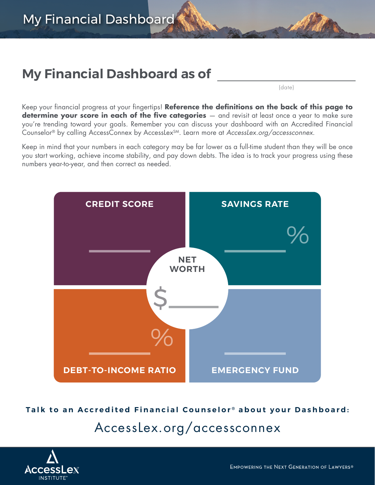## **My Financial Dashboard as of**

(date)

Keep your financial progress at your fingertips! **Reference the definitions on the back of this page to determine your score in each of the five categories**  $-$  and revisit at least once a year to make sure you're trending toward your goals. Remember you can discuss your dashboard with an Accredited Financial Counselor® by calling AccessConnex by AccessLexSM. Learn more at *[AccessLex.org/accessconnex](http://AccessLex.org/accessconnex)*.

Keep in mind that your numbers in each category may be far lower as a full-time student than they will be once you start working, achieve income stability, and pay down debts. The idea is to track your progress using these numbers year-to-year, and then correct as needed.



**Talk to an Accredited Financial Counselor ® about your Dashboard:**

## [AccessLex.org/accessconnex](http://AccessLex.org/accessconnex)